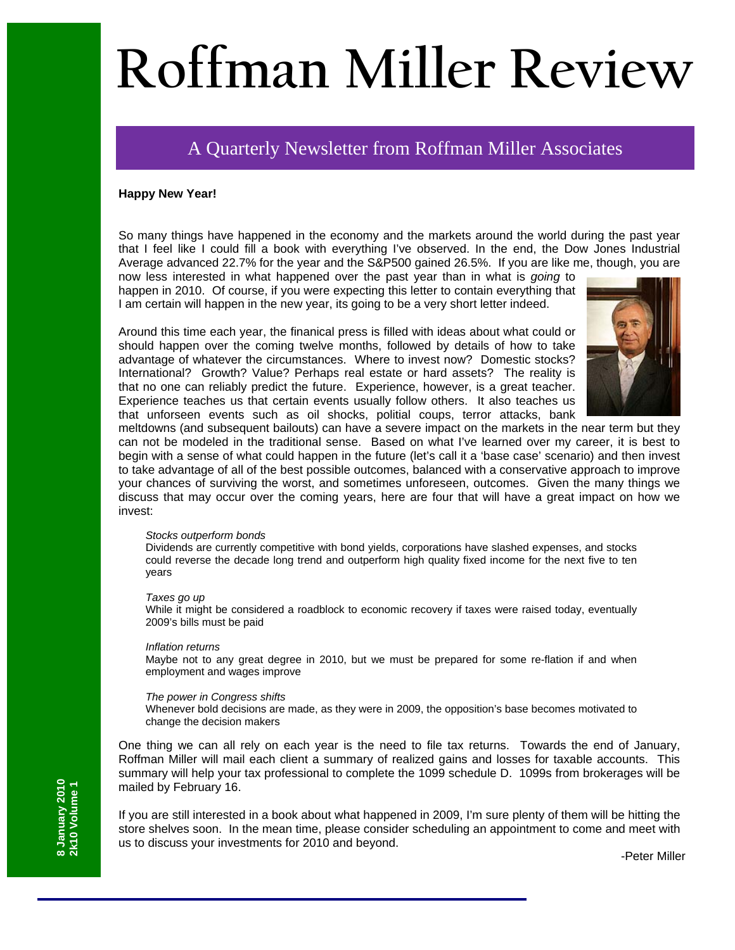# **Roffman Miller Review**

## A Quarterly Newsletter from Roffman Miller Associates

#### **Happy New Year!**

So many things have happened in the economy and the markets around the world during the past year that I feel like I could fill a book with everything I've observed. In the end, the Dow Jones Industrial Average advanced 22.7% for the year and the S&P500 gained 26.5%. If you are like me, though, you are

now less interested in what happened over the past year than in what is *going* to happen in 2010. Of course, if you were expecting this letter to contain everything that I am certain will happen in the new year, its going to be a very short letter indeed.

Around this time each year, the finanical press is filled with ideas about what could or should happen over the coming twelve months, followed by details of how to take advantage of whatever the circumstances. Where to invest now? Domestic stocks? International? Growth? Value? Perhaps real estate or hard assets? The reality is that no one can reliably predict the future. Experience, however, is a great teacher. Experience teaches us that certain events usually follow others. It also teaches us that unforseen events such as oil shocks, politial coups, terror attacks, bank



meltdowns (and subsequent bailouts) can have a severe impact on the markets in the near term but they can not be modeled in the traditional sense. Based on what I've learned over my career, it is best to begin with a sense of what could happen in the future (let's call it a 'base case' scenario) and then invest to take advantage of all of the best possible outcomes, balanced with a conservative approach to improve your chances of surviving the worst, and sometimes unforeseen, outcomes. Given the many things we discuss that may occur over the coming years, here are four that will have a great impact on how we invest:

#### *Stocks outperform bonds*

Dividends are currently competitive with bond yields, corporations have slashed expenses, and stocks could reverse the decade long trend and outperform high quality fixed income for the next five to ten years

#### *Taxes go up*

While it might be considered a roadblock to economic recovery if taxes were raised today, eventually 2009's bills must be paid

#### *Inflation returns*

Maybe not to any great degree in 2010, but we must be prepared for some re-flation if and when employment and wages improve

#### *The power in Congress shifts*

Whenever bold decisions are made, as they were in 2009, the opposition's base becomes motivated to change the decision makers

One thing we can all rely on each year is the need to file tax returns. Towards the end of January, Roffman Miller will mail each client a summary of realized gains and losses for taxable accounts. This summary will help your tax professional to complete the 1099 schedule D. 1099s from brokerages will be mailed by February 16.

If you are still interested in a book about what happened in 2009, I'm sure plenty of them will be hitting the store shelves soon. In the mean time, please consider scheduling an appointment to come and meet with us to discuss your investments for 2010 and beyond.

-Peter Miller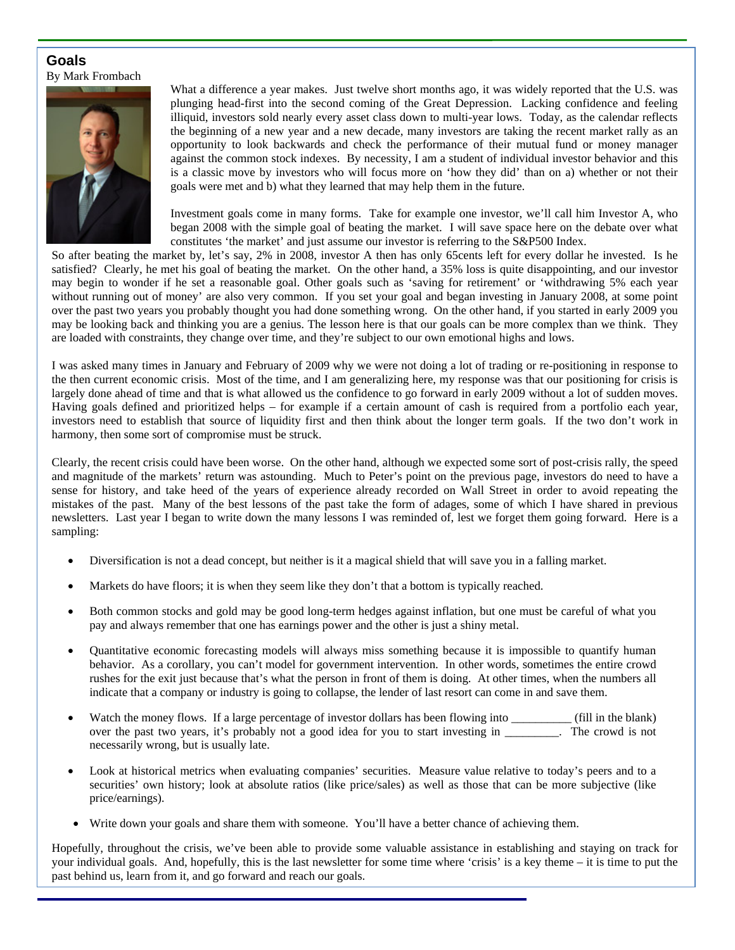### **Goals**  By Mark Frombach



What a difference a year makes. Just twelve short months ago, it was widely reported that the U.S. was plunging head-first into the second coming of the Great Depression. Lacking confidence and feeling illiquid, investors sold nearly every asset class down to multi-year lows. Today, as the calendar reflects the beginning of a new year and a new decade, many investors are taking the recent market rally as an opportunity to look backwards and check the performance of their mutual fund or money manager against the common stock indexes. By necessity, I am a student of individual investor behavior and this is a classic move by investors who will focus more on 'how they did' than on a) whether or not their goals were met and b) what they learned that may help them in the future.

Investment goals come in many forms. Take for example one investor, we'll call him Investor A, who began 2008 with the simple goal of beating the market. I will save space here on the debate over what constitutes 'the market' and just assume our investor is referring to the S&P500 Index.

So after beating the market by, let's say, 2% in 2008, investor A then has only 65cents left for every dollar he invested. Is he satisfied? Clearly, he met his goal of beating the market. On the other hand, a 35% loss is quite disappointing, and our investor may begin to wonder if he set a reasonable goal. Other goals such as 'saving for retirement' or 'withdrawing 5% each year without running out of money' are also very common. If you set your goal and began investing in January 2008, at some point over the past two years you probably thought you had done something wrong. On the other hand, if you started in early 2009 you may be looking back and thinking you are a genius. The lesson here is that our goals can be more complex than we think. They are loaded with constraints, they change over time, and they're subject to our own emotional highs and lows.

I was asked many times in January and February of 2009 why we were not doing a lot of trading or re-positioning in response to the then current economic crisis. Most of the time, and I am generalizing here, my response was that our positioning for crisis is largely done ahead of time and that is what allowed us the confidence to go forward in early 2009 without a lot of sudden moves. Having goals defined and prioritized helps – for example if a certain amount of cash is required from a portfolio each year, investors need to establish that source of liquidity first and then think about the longer term goals. If the two don't work in harmony, then some sort of compromise must be struck.

Clearly, the recent crisis could have been worse. On the other hand, although we expected some sort of post-crisis rally, the speed and magnitude of the markets' return was astounding. Much to Peter's point on the previous page, investors do need to have a sense for history, and take heed of the years of experience already recorded on Wall Street in order to avoid repeating the mistakes of the past. Many of the best lessons of the past take the form of adages, some of which I have shared in previous newsletters. Last year I began to write down the many lessons I was reminded of, lest we forget them going forward. Here is a sampling:

- Diversification is not a dead concept, but neither is it a magical shield that will save you in a falling market.
- Markets do have floors; it is when they seem like they don't that a bottom is typically reached.
- Both common stocks and gold may be good long-term hedges against inflation, but one must be careful of what you pay and always remember that one has earnings power and the other is just a shiny metal.
- Quantitative economic forecasting models will always miss something because it is impossible to quantify human behavior. As a corollary, you can't model for government intervention. In other words, sometimes the entire crowd rushes for the exit just because that's what the person in front of them is doing. At other times, when the numbers all indicate that a company or industry is going to collapse, the lender of last resort can come in and save them.
- Watch the money flows. If a large percentage of investor dollars has been flowing into \_\_\_\_\_\_\_\_\_\_ (fill in the blank) over the past two years, it's probably not a good idea for you to start investing in \_\_\_\_\_\_\_\_\_. The crowd is not necessarily wrong, but is usually late.
- Look at historical metrics when evaluating companies' securities. Measure value relative to today's peers and to a securities' own history; look at absolute ratios (like price/sales) as well as those that can be more subjective (like price/earnings).
- Write down your goals and share them with someone. You'll have a better chance of achieving them.

Hopefully, throughout the crisis, we've been able to provide some valuable assistance in establishing and staying on track for your individual goals. And, hopefully, this is the last newsletter for some time where 'crisis' is a key theme – it is time to put the past behind us, learn from it, and go forward and reach our goals.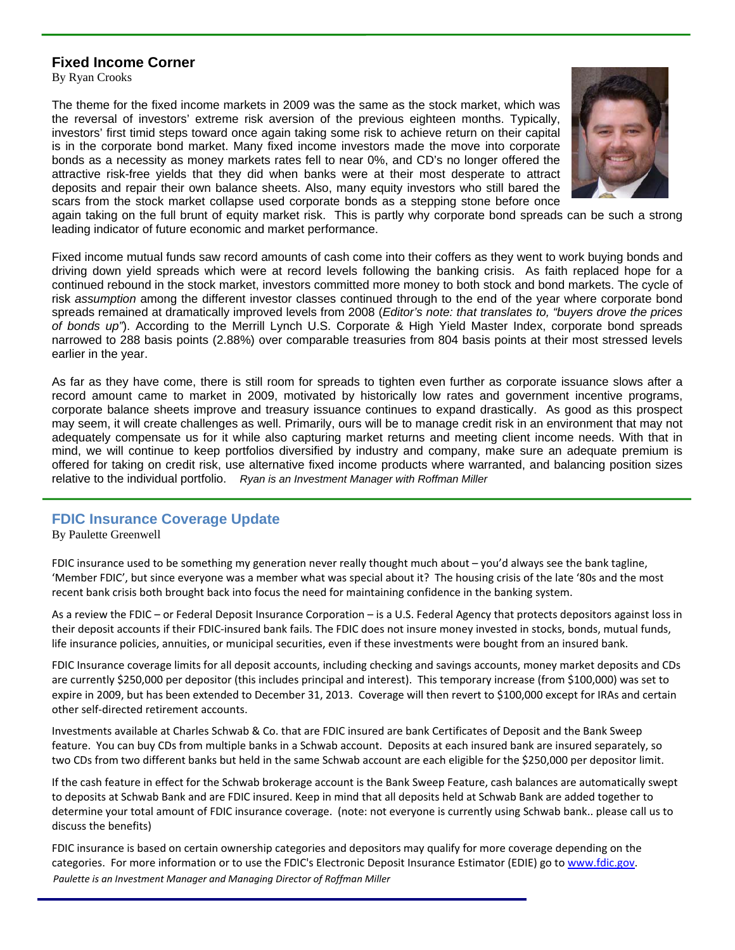## **Fixed Income Corner**

By Ryan Crooks

The theme for the fixed income markets in 2009 was the same as the stock market, which was the reversal of investors' extreme risk aversion of the previous eighteen months. Typically, investors' first timid steps toward once again taking some risk to achieve return on their capital is in the corporate bond market. Many fixed income investors made the move into corporate bonds as a necessity as money markets rates fell to near 0%, and CD's no longer offered the attractive risk-free yields that they did when banks were at their most desperate to attract deposits and repair their own balance sheets. Also, many equity investors who still bared the scars from the stock market collapse used corporate bonds as a stepping stone before once



again taking on the full brunt of equity market risk. This is partly why corporate bond spreads can be such a strong leading indicator of future economic and market performance.

Fixed income mutual funds saw record amounts of cash come into their coffers as they went to work buying bonds and driving down yield spreads which were at record levels following the banking crisis. As faith replaced hope for a continued rebound in the stock market, investors committed more money to both stock and bond markets. The cycle of risk *assumption* among the different investor classes continued through to the end of the year where corporate bond spreads remained at dramatically improved levels from 2008 (*Editor's note: that translates to, "buyers drove the prices of bonds up"*). According to the Merrill Lynch U.S. Corporate & High Yield Master Index, corporate bond spreads narrowed to 288 basis points (2.88%) over comparable treasuries from 804 basis points at their most stressed levels earlier in the year.

As far as they have come, there is still room for spreads to tighten even further as corporate issuance slows after a record amount came to market in 2009, motivated by historically low rates and government incentive programs, corporate balance sheets improve and treasury issuance continues to expand drastically. As good as this prospect may seem, it will create challenges as well. Primarily, ours will be to manage credit risk in an environment that may not adequately compensate us for it while also capturing market returns and meeting client income needs. With that in mind, we will continue to keep portfolios diversified by industry and company, make sure an adequate premium is offered for taking on credit risk, use alternative fixed income products where warranted, and balancing position sizes relative to the individual portfolio. *Ryan is an Investment Manager with Roffman Miller* 

## **FDIC Insurance Coverage Update**

By Paulette Greenwell

FDIC insurance used to be something my generation never really thought much about – you'd always see the bank tagline, 'Member FDIC', but since everyone was a member what was special about it? The housing crisis of the late '80s and the most recent bank crisis both brought back into focus the need for maintaining confidence in the banking system.

As a review the FDIC – or Federal Deposit Insurance Corporation – is a U.S. Federal Agency that protects depositors against loss in their deposit accounts if their FDIC‐insured bank fails. The FDIC does not insure money invested in stocks, bonds, mutual funds, life insurance policies, annuities, or municipal securities, even if these investments were bought from an insured bank.

FDIC Insurance coverage limits for all deposit accounts, including checking and savings accounts, money market deposits and CDs are currently \$250,000 per depositor (this includes principal and interest). This temporary increase (from \$100,000) was set to expire in 2009, but has been extended to December 31, 2013. Coverage will then revert to \$100,000 except for IRAs and certain other self‐directed retirement accounts.

Investments available at Charles Schwab & Co. that are FDIC insured are bank Certificates of Deposit and the Bank Sweep feature. You can buy CDs from multiple banks in a Schwab account. Deposits at each insured bank are insured separately, so two CDs from two different banks but held in the same Schwab account are each eligible for the \$250,000 per depositor limit.

If the cash feature in effect for the Schwab brokerage account is the Bank Sweep Feature, cash balances are automatically swept to deposits at Schwab Bank and are FDIC insured. Keep in mind that all deposits held at Schwab Bank are added together to determine your total amount of FDIC insurance coverage. (note: not everyone is currently using Schwab bank.. please call us to discuss the benefits)

FDIC insurance is based on certain ownership categories and depositors may qualify for more coverage depending on the categories. For more information or to use the FDIC's Electronic Deposit Insurance Estimator (EDIE) go to www.fdic.gov. *Paulette is an Investment Manager and Managing Director of Roffman Miller*